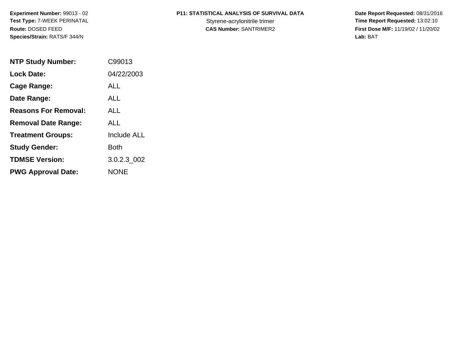**Experiment Number:** 99013 - 02**Test Type:** 7-WEEK PERINATAL**Route:** DOSED FEED**Species/Strain:** RATS/F 344/N

# **P11: STATISTICAL ANALYSIS OF SURVIVAL DATA**

 **Date Report Requested:** 08/31/2016 Styrene-acrylonitrile trimer<br>
CAS Number: SANTRIMER2<br> **CAS Number:** SANTRIMER2<br> **Time Report Requested:** 13:02:10 **First Dose M/F:** 11/19/02 / 11/20/02<br>Lab: BAT **Lab:** BAT

| <b>NTP Study Number:</b>    | C99013             |
|-----------------------------|--------------------|
| <b>Lock Date:</b>           | 04/22/2003         |
| Cage Range:                 | ALL                |
| Date Range:                 | ALL                |
| <b>Reasons For Removal:</b> | ALL                |
| <b>Removal Date Range:</b>  | ALL                |
| <b>Treatment Groups:</b>    | <b>Include ALL</b> |
| <b>Study Gender:</b>        | Both               |
| <b>TDMSE Version:</b>       | 3.0.2.3 002        |
| <b>PWG Approval Date:</b>   | <b>NONE</b>        |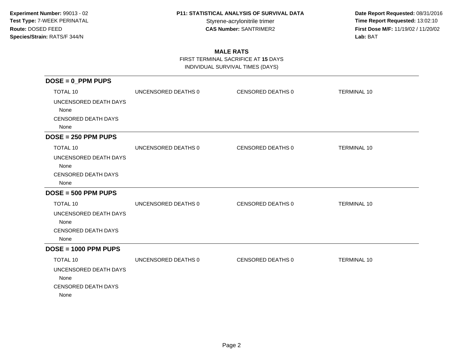**Date Report Requested:** 08/31/2016 Styrene-acrylonitrile trimer<br> **CAS Number:** SANTRIMER2<br> **CAS Number:** SANTRIMER2<br> **Time Report Requested:** 13:02:10 **First Dose M/F:** 11/19/02 / 11/20/02<br>Lab: BAT **Lab:** BAT

### **MALE RATS**

 FIRST TERMINAL SACRIFICE AT **15** DAYSINDIVIDUAL SURVIVAL TIMES (DAYS)

| $DOSE = 0_PPM$ PUPS                                                                    |                     |                   |                    |
|----------------------------------------------------------------------------------------|---------------------|-------------------|--------------------|
| TOTAL 10<br>UNCENSORED DEATH DAYS<br>None<br><b>CENSORED DEATH DAYS</b><br>None        | UNCENSORED DEATHS 0 | CENSORED DEATHS 0 | <b>TERMINAL 10</b> |
| $DOSE = 250$ PPM PUPS                                                                  |                     |                   |                    |
| <b>TOTAL 10</b><br>UNCENSORED DEATH DAYS<br>None<br><b>CENSORED DEATH DAYS</b><br>None | UNCENSORED DEATHS 0 | CENSORED DEATHS 0 | <b>TERMINAL 10</b> |
| $DOSE = 500$ PPM PUPS                                                                  |                     |                   |                    |
| <b>TOTAL 10</b><br>UNCENSORED DEATH DAYS<br>None<br><b>CENSORED DEATH DAYS</b><br>None | UNCENSORED DEATHS 0 | CENSORED DEATHS 0 | <b>TERMINAL 10</b> |
| $DOSE = 1000$ PPM PUPS                                                                 |                     |                   |                    |
| <b>TOTAL 10</b><br>UNCENSORED DEATH DAYS<br>None<br><b>CENSORED DEATH DAYS</b><br>None | UNCENSORED DEATHS 0 | CENSORED DEATHS 0 | <b>TERMINAL 10</b> |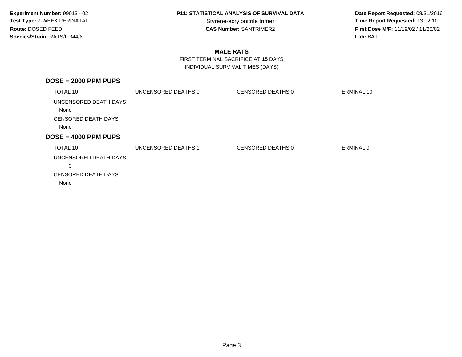**Date Report Requested:** 08/31/2016 Styrene-acrylonitrile trimer<br> **CAS Number:** SANTRIMER2<br> **CAS Number:** SANTRIMER2<br> **Time Report Requested:** 13:02:10 **First Dose M/F:** 11/19/02 / 11/20/02<br>Lab: BAT **Lab:** BAT

### **MALE RATS**

 FIRST TERMINAL SACRIFICE AT **15** DAYSINDIVIDUAL SURVIVAL TIMES (DAYS)

| $DOSE = 2000$ PPM PUPS        |                     |                   |                    |
|-------------------------------|---------------------|-------------------|--------------------|
| TOTAL 10                      | UNCENSORED DEATHS 0 | CENSORED DEATHS 0 | <b>TERMINAL 10</b> |
| UNCENSORED DEATH DAYS<br>None |                     |                   |                    |
| <b>CENSORED DEATH DAYS</b>    |                     |                   |                    |
| None                          |                     |                   |                    |
| $DOSE = 4000$ PPM PUPS        |                     |                   |                    |
| TOTAL 10                      | UNCENSORED DEATHS 1 | CENSORED DEATHS 0 | <b>TERMINAL 9</b>  |
| UNCENSORED DEATH DAYS         |                     |                   |                    |
| 3                             |                     |                   |                    |
| <b>CENSORED DEATH DAYS</b>    |                     |                   |                    |
| None                          |                     |                   |                    |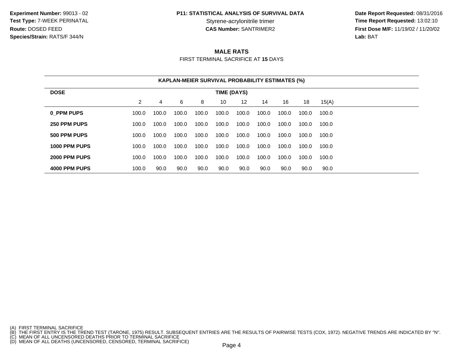**Experiment Number:** 99013 - 02**Test Type:** 7-WEEK PERINATAL**Route:** DOSED FEED**Species/Strain:** RATS/F 344/N

### **P11: STATISTICAL ANALYSIS OF SURVIVAL DATA**

 **Date Report Requested:** 08/31/2016 **Time Report Requested: 13:02:10 CAS Number:** SANTRIMER2 **First Dose M/F:** 11/19/02 / 11/20/02 **Lab:** BAT

### **MALE RATS**

FIRST TERMINAL SACRIFICE AT **15** DAYS

|               |       |       | <b>KAPLAN-MEIER SURVIVAL PROBABILITY ESTIMATES (%)</b> |       |             |       |       |       |       |       |  |
|---------------|-------|-------|--------------------------------------------------------|-------|-------------|-------|-------|-------|-------|-------|--|
| <b>DOSE</b>   |       |       |                                                        |       | TIME (DAYS) |       |       |       |       |       |  |
|               | 2     | 4     | 6                                                      | 8     | 10          | 12    | 14    | 16    | 18    | 15(A) |  |
| 0 PPM PUPS    | 100.0 | 100.0 | 100.0                                                  | 100.0 | 100.0       | 100.0 | 100.0 | 100.0 | 100.0 | 100.0 |  |
| 250 PPM PUPS  | 100.0 | 100.0 | 100.0                                                  | 100.0 | 100.0       | 100.0 | 100.0 | 100.0 | 100.0 | 100.0 |  |
| 500 PPM PUPS  | 100.0 | 100.0 | 100.0                                                  | 100.0 | 100.0       | 100.0 | 100.0 | 100.0 | 100.0 | 100.0 |  |
| 1000 PPM PUPS | 100.0 | 100.0 | 100.0                                                  | 100.0 | 100.0       | 100.0 | 100.0 | 100.0 | 100.0 | 100.0 |  |
| 2000 PPM PUPS | 100.0 | 100.0 | 100.0                                                  | 100.0 | 100.0       | 100.0 | 100.0 | 100.0 | 100.0 | 100.0 |  |
| 4000 PPM PUPS | 100.0 | 90.0  | 90.0                                                   | 90.0  | 90.0        | 90.0  | 90.0  | 90.0  | 90.0  | 90.0  |  |

<sup>(</sup>A) FIRST TERMINAL SACRIFICE<br>(B) THE FIRST ENTRY IS THE TREND TEST (TARONE, 1975) RESULT. SUBSEQUENT ENTRIES ARE THE RESULTS OF PAIRWISE TESTS (COX, 1972). NEGATIVE TRENDS ARE INDICATED BY "N".<br>(C) MEAN OF ALL UNCENSORED D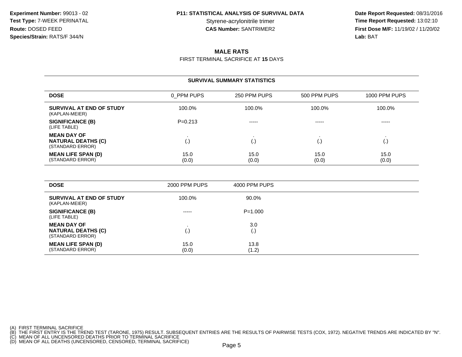**Date Report Requested:** 08/31/2016 Time Report Requested: 13:02:10 **CAS Number:** SANTRIMER2 **First Dose M/F:** 11/19/02 / 11/20/02 **Lab:** BAT

#### **MALE RATS**

FIRST TERMINAL SACRIFICE AT **15** DAYS

#### **SURVIVAL SUMMARY STATISTICSDOSE** 0\_PPM PUPS 250 PPM PUPS 500 PPM PUPS 1000 PPM PUPS **SURVIVAL AT END OF STUDY** 100.0%% 100.0% 100.0% 100.0% 100.0% 100.0% (KAPLAN-MEIER)**SIGNIFICANCE (B)** P=0.213 ----- ----- ----- (LIFE TABLE)**MEAN DAY OF** . . . . **NATURAL DEATHS (C)** (.) (.) (.) (.) (STANDARD ERROR)**MEAN LIFE SPAN (D)** $\vert$ ) and the set of  $\vert$  15.0  $\begin{array}{ccc} 0 & 15.0 & 15.0 & \end{array}$  (2.6) (STANDARD ERROR) (0.0) $(0.0)$   $(0.0)$   $(0.0)$   $(0.0)$

| <b>DOSE</b>                                                         | 2000 PPM PUPS | 4000 PPM PUPS |  |
|---------------------------------------------------------------------|---------------|---------------|--|
| SURVIVAL AT END OF STUDY<br>(KAPLAN-MEIER)                          | 100.0%        | 90.0%         |  |
| <b>SIGNIFICANCE (B)</b><br>(LIFE TABLE)                             | -----         | $P = 1.000$   |  |
| <b>MEAN DAY OF</b><br><b>NATURAL DEATHS (C)</b><br>(STANDARD ERROR) | (.)           | 3.0<br>(. ا   |  |
| <b>MEAN LIFE SPAN (D)</b><br>(STANDARD ERROR)                       | 15.0<br>(0.0) | 13.8<br>(1.2) |  |

(A) FIRST TERMINAL SACRIFICE

(B) THE FIRST ENTRY IS THE TREND TEST (TARONE, 1975) RESULT. SUBSEQUENT ENTRIES ARE THE RESULTS OF PAIRWISE TESTS (COX, 1972). NEGATIVE TRENDS ARE INDICATED BY "N".<br>(C) MEAN OF ALL UNCENSORED DEATHS PRIOR TO TERMINAL SACRI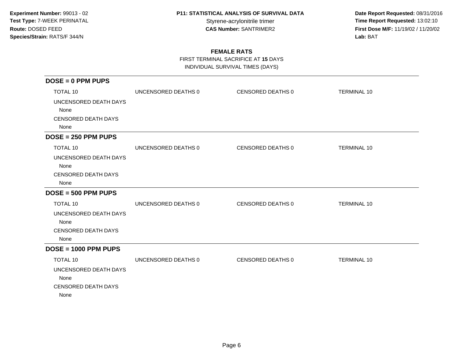**Date Report Requested:** 08/31/2016 Styrene-acrylonitrile trimer<br>
CAS Number: SANTRIMER2<br> **CAS Number:** SANTRIMER2<br> **Time Report Requested:** 13:02:10 **First Dose M/F:** 11/19/02 / 11/20/02<br>Lab: BAT **Lab:** BAT

### **FEMALE RATS**

FIRST TERMINAL SACRIFICE AT **15** DAYS

INDIVIDUAL SURVIVAL TIMES (DAYS)

| $DOSE = 0$ PPM PUPS                                                 |                     |                   |                    |
|---------------------------------------------------------------------|---------------------|-------------------|--------------------|
| <b>TOTAL 10</b>                                                     | UNCENSORED DEATHS 0 | CENSORED DEATHS 0 | <b>TERMINAL 10</b> |
| UNCENSORED DEATH DAYS<br>None<br><b>CENSORED DEATH DAYS</b><br>None |                     |                   |                    |
| $DOSE = 250$ PPM PUPS                                               |                     |                   |                    |
| <b>TOTAL 10</b>                                                     | UNCENSORED DEATHS 0 | CENSORED DEATHS 0 | <b>TERMINAL 10</b> |
| UNCENSORED DEATH DAYS<br>None<br><b>CENSORED DEATH DAYS</b><br>None |                     |                   |                    |
| $DOSE = 500$ PPM PUPS                                               |                     |                   |                    |
| <b>TOTAL 10</b>                                                     | UNCENSORED DEATHS 0 | CENSORED DEATHS 0 | <b>TERMINAL 10</b> |
| UNCENSORED DEATH DAYS<br>None<br><b>CENSORED DEATH DAYS</b><br>None |                     |                   |                    |
| $DOSE = 1000$ PPM PUPS                                              |                     |                   |                    |
| <b>TOTAL 10</b>                                                     | UNCENSORED DEATHS 0 | CENSORED DEATHS 0 | <b>TERMINAL 10</b> |
| UNCENSORED DEATH DAYS<br>None<br><b>CENSORED DEATH DAYS</b><br>None |                     |                   |                    |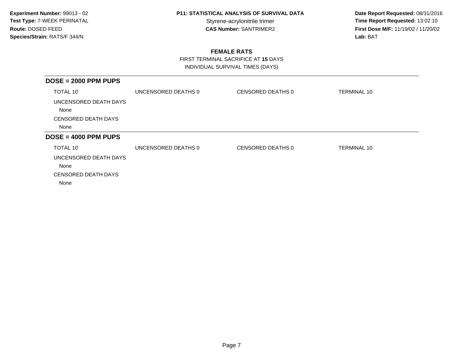**Date Report Requested:** 08/31/2016 Styrene-acrylonitrile trimer<br> **CAS Number:** SANTRIMER2<br> **CAS Number:** SANTRIMER2<br> **Time Report Requested:** 13:02:10 **First Dose M/F:** 11/19/02 / 11/20/02<br>Lab: BAT **Lab:** BAT

### **FEMALE RATS**

 FIRST TERMINAL SACRIFICE AT **15** DAYSINDIVIDUAL SURVIVAL TIMES (DAYS)

| $DOSE = 2000$ PPM PUPS                                      |                     |                   |                    |
|-------------------------------------------------------------|---------------------|-------------------|--------------------|
| <b>TOTAL 10</b>                                             | UNCENSORED DEATHS 0 | CENSORED DEATHS 0 | <b>TERMINAL 10</b> |
| UNCENSORED DEATH DAYS<br>None                               |                     |                   |                    |
| <b>CENSORED DEATH DAYS</b>                                  |                     |                   |                    |
| None                                                        |                     |                   |                    |
| $DOSE = 4000$ PPM PUPS                                      |                     |                   |                    |
| TOTAL 10                                                    | UNCENSORED DEATHS 0 | CENSORED DEATHS 0 | TERMINAL 10        |
| UNCENSORED DEATH DAYS<br>None<br><b>CENSORED DEATH DAYS</b> |                     |                   |                    |
| None                                                        |                     |                   |                    |
|                                                             |                     |                   |                    |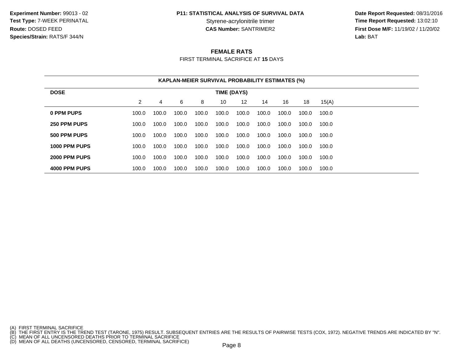**Experiment Number:** 99013 - 02**Test Type:** 7-WEEK PERINATAL**Route:** DOSED FEED**Species/Strain:** RATS/F 344/N

### **P11: STATISTICAL ANALYSIS OF SURVIVAL DATA**

 **Date Report Requested:** 08/31/2016 **Time Report Requested: 13:02:10 CAS Number:** SANTRIMER2 **First Dose M/F:** 11/19/02 / 11/20/02 **Lab:** BAT

#### **FEMALE RATS**

FIRST TERMINAL SACRIFICE AT **15** DAYS

|               |                |       |       |       | <b>KAPLAN-MEIER SURVIVAL PROBABILITY ESTIMATES (%)</b> |       |       |       |       |       |  |  |
|---------------|----------------|-------|-------|-------|--------------------------------------------------------|-------|-------|-------|-------|-------|--|--|
| <b>DOSE</b>   |                |       |       |       | TIME (DAYS)                                            |       |       |       |       |       |  |  |
|               | $\overline{2}$ | 4     | 6     | 8     | 10                                                     | 12    | 14    | 16    | 18    | 15(A) |  |  |
| 0 PPM PUPS    | 100.0          | 100.0 | 100.0 | 100.0 | 100.0                                                  | 100.0 | 100.0 | 100.0 | 100.0 | 100.0 |  |  |
| 250 PPM PUPS  | 100.0          | 100.0 | 100.0 | 100.0 | 100.0                                                  | 100.0 | 100.0 | 100.0 | 100.0 | 100.0 |  |  |
| 500 PPM PUPS  | 100.0          | 100.0 | 100.0 | 100.0 | 100.0                                                  | 100.0 | 100.0 | 100.0 | 100.0 | 100.0 |  |  |
| 1000 PPM PUPS | 100.0          | 100.0 | 100.0 | 100.0 | 100.0                                                  | 100.0 | 100.0 | 100.0 | 100.0 | 100.0 |  |  |
| 2000 PPM PUPS | 100.0          | 100.0 | 100.0 | 100.0 | 100.0                                                  | 100.0 | 100.0 | 100.0 | 100.0 | 100.0 |  |  |
| 4000 PPM PUPS | 100.0          | 100.0 | 100.0 | 100.0 | 100.0                                                  | 100.0 | 100.0 | 100.0 | 100.0 | 100.0 |  |  |

- 
- 

<sup>(</sup>A) FIRST TERMINAL SACRIFICE<br>(B) THE FIRST ENTRY IS THE TREND TEST (TARONE, 1975) RESULT. SUBSEQUENT ENTRIES ARE THE RESULTS OF PAIRWISE TESTS (COX, 1972). NEGATIVE TRENDS ARE INDICATED BY "N".<br>(C) MEAN OF ALL UNCENSORED D